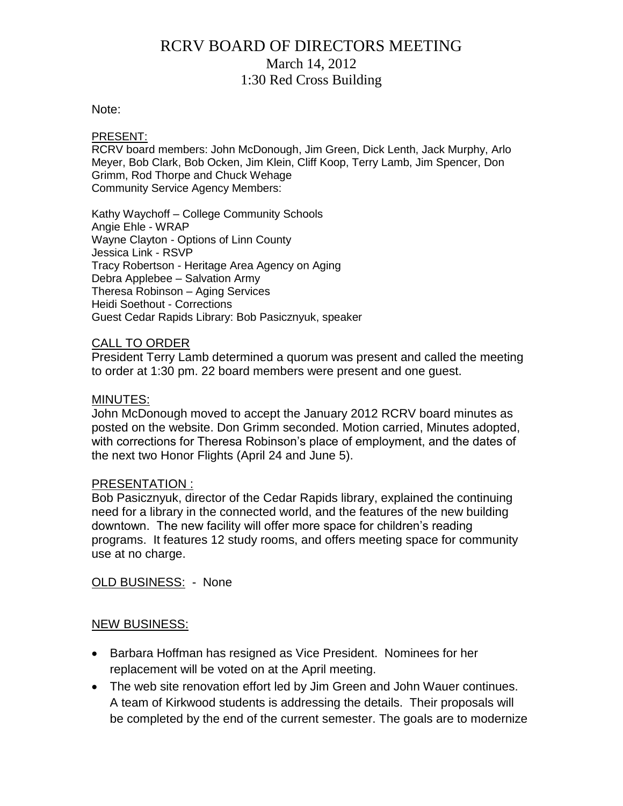## RCRV BOARD OF DIRECTORS MEETING March 14, 2012 1:30 Red Cross Building

#### Note:

#### PRESENT:

RCRV board members: John McDonough, Jim Green, Dick Lenth, Jack Murphy, Arlo Meyer, Bob Clark, Bob Ocken, Jim Klein, Cliff Koop, Terry Lamb, Jim Spencer, Don Grimm, Rod Thorpe and Chuck Wehage Community Service Agency Members:

Kathy Waychoff – College Community Schools Angie Ehle - WRAP Wayne Clayton - Options of Linn County Jessica Link - RSVP Tracy Robertson - Heritage Area Agency on Aging Debra Applebee – Salvation Army Theresa Robinson – Aging Services Heidi Soethout - Corrections Guest Cedar Rapids Library: Bob Pasicznyuk, speaker

#### CALL TO ORDER

President Terry Lamb determined a quorum was present and called the meeting to order at 1:30 pm. 22 board members were present and one guest.

#### MINUTES:

John McDonough moved to accept the January 2012 RCRV board minutes as posted on the website. Don Grimm seconded. Motion carried, Minutes adopted, with corrections for Theresa Robinson's place of employment, and the dates of the next two Honor Flights (April 24 and June 5).

#### PRESENTATION :

Bob Pasicznyuk, director of the Cedar Rapids library, explained the continuing need for a library in the connected world, and the features of the new building downtown. The new facility will offer more space for children's reading programs. It features 12 study rooms, and offers meeting space for community use at no charge.

OLD BUSINESS: - None

#### NEW BUSINESS:

- Barbara Hoffman has resigned as Vice President. Nominees for her replacement will be voted on at the April meeting.
- The web site renovation effort led by Jim Green and John Wauer continues. A team of Kirkwood students is addressing the details. Their proposals will be completed by the end of the current semester. The goals are to modernize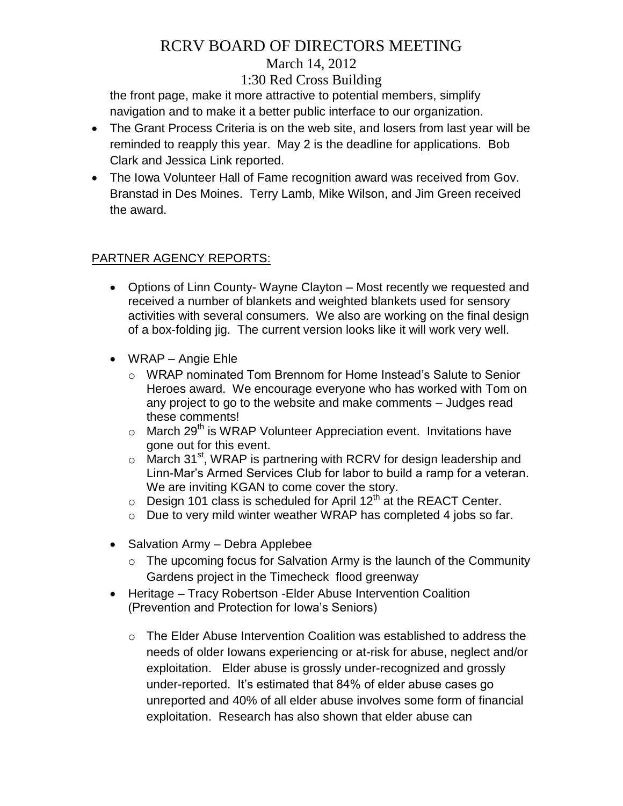# RCRV BOARD OF DIRECTORS MEETING

### March 14, 2012

## 1:30 Red Cross Building

the front page, make it more attractive to potential members, simplify navigation and to make it a better public interface to our organization.

- The Grant Process Criteria is on the web site, and losers from last year will be reminded to reapply this year. May 2 is the deadline for applications. Bob Clark and Jessica Link reported.
- The Iowa Volunteer Hall of Fame recognition award was received from Gov. Branstad in Des Moines. Terry Lamb, Mike Wilson, and Jim Green received the award.

## PARTNER AGENCY REPORTS:

- Options of Linn County- Wayne Clayton Most recently we requested and received a number of blankets and weighted blankets used for sensory activities with several consumers. We also are working on the final design of a box-folding jig. The current version looks like it will work very well.
- WRAP Angie Ehle
	- o WRAP nominated Tom Brennom for Home Instead's Salute to Senior Heroes award. We encourage everyone who has worked with Tom on any project to go to the website and make comments – Judges read these comments!
	- $\circ$  March 29<sup>th</sup> is WRAP Volunteer Appreciation event. Invitations have gone out for this event.
	- $\circ$  March 31<sup>st</sup>, WRAP is partnering with RCRV for design leadership and Linn-Mar's Armed Services Club for labor to build a ramp for a veteran. We are inviting KGAN to come cover the story.
	- $\circ$  Design 101 class is scheduled for April 12<sup>th</sup> at the REACT Center.
	- o Due to very mild winter weather WRAP has completed 4 jobs so far.
- Salvation Army Debra Applebee
	- $\circ$  The upcoming focus for Salvation Army is the launch of the Community Gardens project in the Timecheck flood greenway
- Heritage Tracy Robertson -Elder Abuse Intervention Coalition (Prevention and Protection for Iowa's Seniors)
	- $\circ$  The Elder Abuse Intervention Coalition was established to address the needs of older Iowans experiencing or at-risk for abuse, neglect and/or exploitation. Elder abuse is grossly under-recognized and grossly under-reported. It's estimated that 84% of elder abuse cases go unreported and 40% of all elder abuse involves some form of financial exploitation. Research has also shown that elder abuse can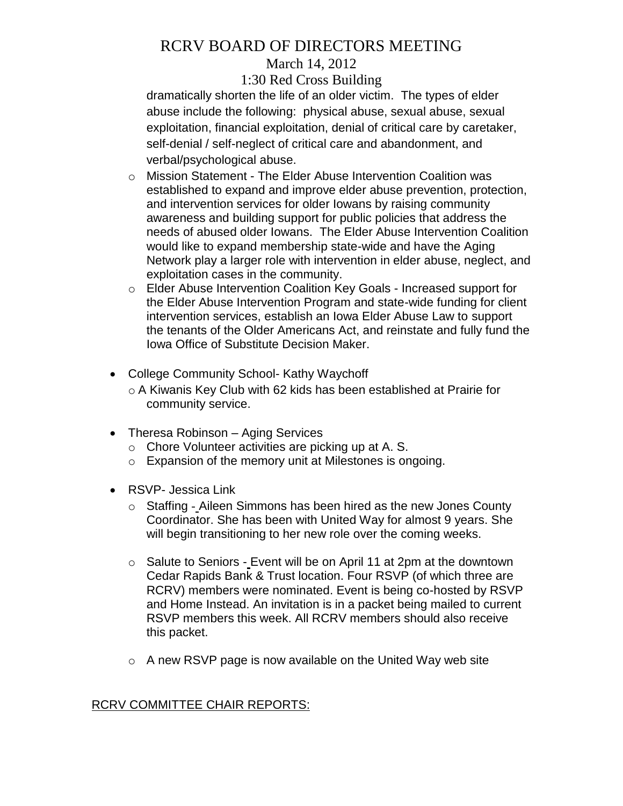# RCRV BOARD OF DIRECTORS MEETING

### March 14, 2012

### 1:30 Red Cross Building

dramatically shorten the life of an older victim. The types of elder abuse include the following: physical abuse, sexual abuse, sexual exploitation, financial exploitation, denial of critical care by caretaker, self-denial / self-neglect of critical care and abandonment, and verbal/psychological abuse.

- o Mission Statement The Elder Abuse Intervention Coalition was established to expand and improve elder abuse prevention, protection, and intervention services for older Iowans by raising community awareness and building support for public policies that address the needs of abused older Iowans. The Elder Abuse Intervention Coalition would like to expand membership state-wide and have the Aging Network play a larger role with intervention in elder abuse, neglect, and exploitation cases in the community.
- o Elder Abuse Intervention Coalition Key Goals Increased support for the Elder Abuse Intervention Program and state-wide funding for client intervention services, establish an Iowa Elder Abuse Law to support the tenants of the Older Americans Act, and reinstate and fully fund the Iowa Office of Substitute Decision Maker.
- College Community School- Kathy Waychoff
	- o A Kiwanis Key Club with 62 kids has been established at Prairie for community service.
- Theresa Robinson Aging Services
	- o Chore Volunteer activities are picking up at A. S.
	- o Expansion of the memory unit at Milestones is ongoing.
- RSVP- Jessica Link
	- o Staffing Aileen Simmons has been hired as the new Jones County Coordinator. She has been with United Way for almost 9 years. She will begin transitioning to her new role over the coming weeks.
	- o Salute to Seniors Event will be on April 11 at 2pm at the downtown Cedar Rapids Bank & Trust location. Four RSVP (of which three are RCRV) members were nominated. Event is being co-hosted by RSVP and Home Instead. An invitation is in a packet being mailed to current RSVP members this week. All RCRV members should also receive this packet.
	- $\circ$  A new RSVP page is now available on the United Way web site

### RCRV COMMITTEE CHAIR REPORTS: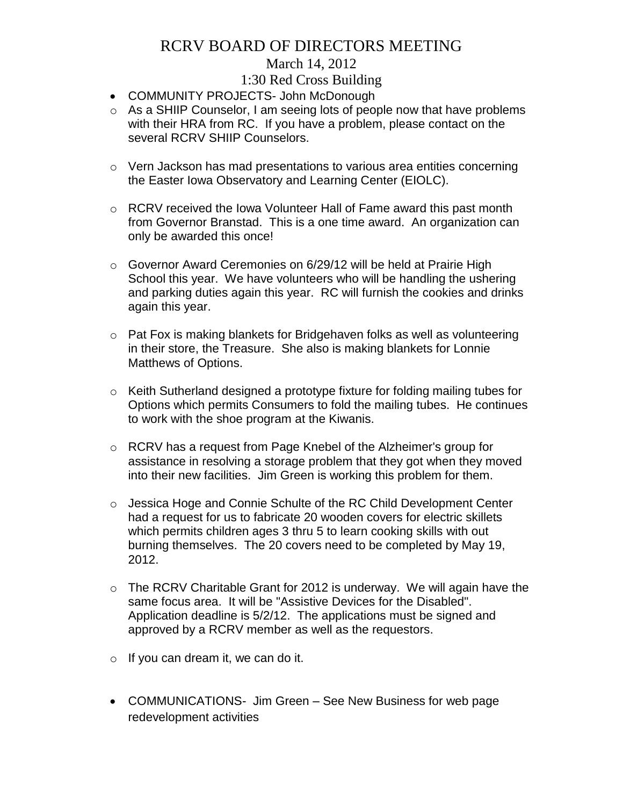## RCRV BOARD OF DIRECTORS MEETING

### March 14, 2012

## 1:30 Red Cross Building

- COMMUNITY PROJECTS- John McDonough
- o As a SHIIP Counselor, I am seeing lots of people now that have problems with their HRA from RC. If you have a problem, please contact on the several RCRV SHIIP Counselors.
- $\circ$  Vern Jackson has mad presentations to various area entities concerning the Easter Iowa Observatory and Learning Center (EIOLC).
- o RCRV received the Iowa Volunteer Hall of Fame award this past month from Governor Branstad. This is a one time award. An organization can only be awarded this once!
- o Governor Award Ceremonies on 6/29/12 will be held at Prairie High School this year. We have volunteers who will be handling the ushering and parking duties again this year. RC will furnish the cookies and drinks again this year.
- $\circ$  Pat Fox is making blankets for Bridgehaven folks as well as volunteering in their store, the Treasure. She also is making blankets for Lonnie Matthews of Options.
- $\circ$  Keith Sutherland designed a prototype fixture for folding mailing tubes for Options which permits Consumers to fold the mailing tubes. He continues to work with the shoe program at the Kiwanis.
- o RCRV has a request from Page Knebel of the Alzheimer's group for assistance in resolving a storage problem that they got when they moved into their new facilities. Jim Green is working this problem for them.
- o Jessica Hoge and Connie Schulte of the RC Child Development Center had a request for us to fabricate 20 wooden covers for electric skillets which permits children ages 3 thru 5 to learn cooking skills with out burning themselves. The 20 covers need to be completed by May 19, 2012.
- o The RCRV Charitable Grant for 2012 is underway. We will again have the same focus area. It will be "Assistive Devices for the Disabled". Application deadline is 5/2/12. The applications must be signed and approved by a RCRV member as well as the requestors.
- $\circ$  If you can dream it, we can do it.
- COMMUNICATIONS- Jim Green See New Business for web page redevelopment activities